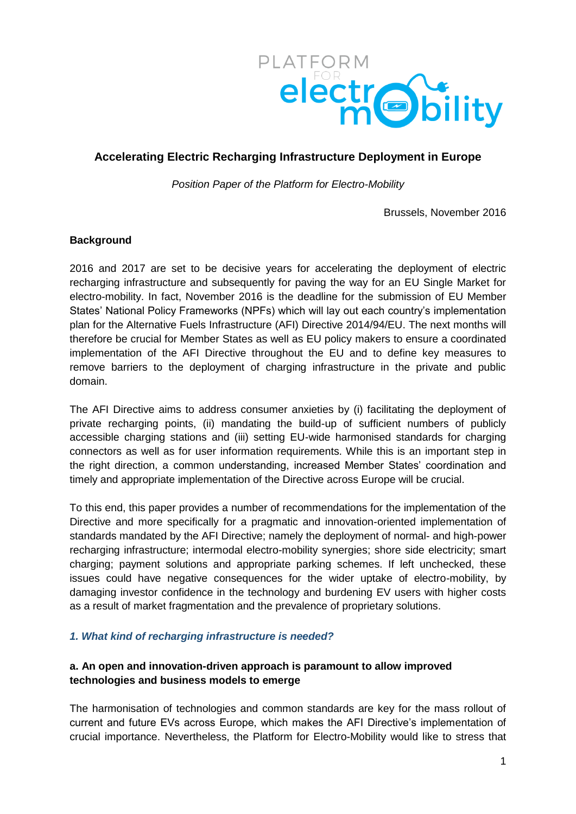

# **Accelerating Electric Recharging Infrastructure Deployment in Europe**

*Position Paper of the Platform for Electro-Mobility* 

Brussels, November 2016

### **Background**

2016 and 2017 are set to be decisive years for accelerating the deployment of electric recharging infrastructure and subsequently for paving the way for an EU Single Market for electro-mobility. In fact, November 2016 is the deadline for the submission of EU Member States' National Policy Frameworks (NPFs) which will lay out each country's implementation plan for the Alternative Fuels Infrastructure (AFI) Directive 2014/94/EU. The next months will therefore be crucial for Member States as well as EU policy makers to ensure a coordinated implementation of the AFI Directive throughout the EU and to define key measures to remove barriers to the deployment of charging infrastructure in the private and public domain.

The AFI Directive aims to address consumer anxieties by (i) facilitating the deployment of private recharging points, (ii) mandating the build-up of sufficient numbers of publicly accessible charging stations and (iii) setting EU-wide harmonised standards for charging connectors as well as for user information requirements. While this is an important step in the right direction, a common understanding, increased Member States' coordination and timely and appropriate implementation of the Directive across Europe will be crucial.

To this end, this paper provides a number of recommendations for the implementation of the Directive and more specifically for a pragmatic and innovation-oriented implementation of standards mandated by the AFI Directive; namely the deployment of normal- and high-power recharging infrastructure; intermodal electro-mobility synergies; shore side electricity; smart charging; payment solutions and appropriate parking schemes. If left unchecked, these issues could have negative consequences for the wider uptake of electro-mobility, by damaging investor confidence in the technology and burdening EV users with higher costs as a result of market fragmentation and the prevalence of proprietary solutions.

#### *1. What kind of recharging infrastructure is needed?*

# **a. An open and innovation-driven approach is paramount to allow improved technologies and business models to emerge**

The harmonisation of technologies and common standards are key for the mass rollout of current and future EVs across Europe, which makes the AFI Directive's implementation of crucial importance. Nevertheless, the Platform for Electro-Mobility would like to stress that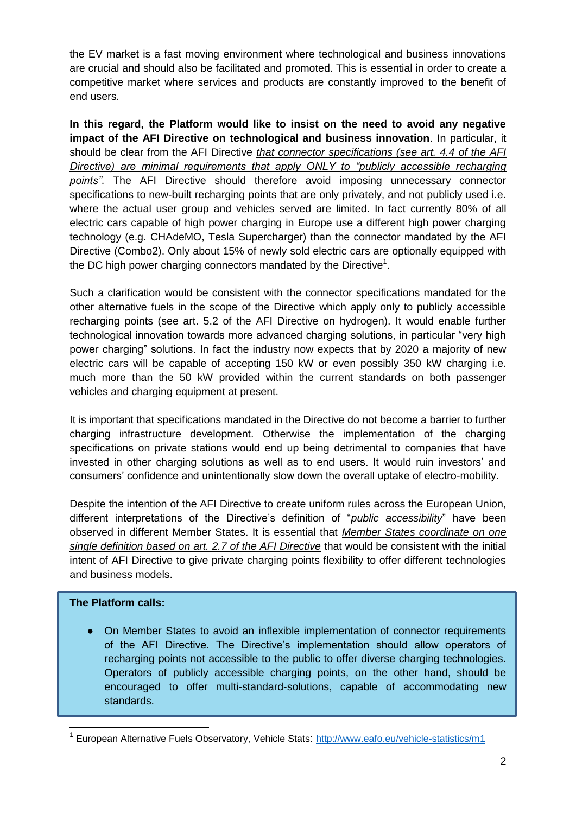the EV market is a fast moving environment where technological and business innovations are crucial and should also be facilitated and promoted. This is essential in order to create a competitive market where services and products are constantly improved to the benefit of end users.

**In this regard, the Platform would like to insist on the need to avoid any negative impact of the AFI Directive on technological and business innovation**. In particular, it should be clear from the AFI Directive *that connector specifications (see art. 4.4 of the AFI Directive) are minimal requirements that apply ONLY to "publicly accessible recharging points"*. The AFI Directive should therefore avoid imposing unnecessary connector specifications to new-built recharging points that are only privately, and not publicly used i.e. where the actual user group and vehicles served are limited. In fact currently 80% of all electric cars capable of high power charging in Europe use a different high power charging technology (e.g. CHAdeMO, Tesla Supercharger) than the connector mandated by the AFI Directive (Combo2). Only about 15% of newly sold electric cars are optionally equipped with the DC high power charging connectors mandated by the Directive<sup>1</sup>.

Such a clarification would be consistent with the connector specifications mandated for the other alternative fuels in the scope of the Directive which apply only to publicly accessible recharging points (see art. 5.2 of the AFI Directive on hydrogen). It would enable further technological innovation towards more advanced charging solutions, in particular "very high power charging" solutions. In fact the industry now expects that by 2020 a majority of new electric cars will be capable of accepting 150 kW or even possibly 350 kW charging i.e. much more than the 50 kW provided within the current standards on both passenger vehicles and charging equipment at present.

It is important that specifications mandated in the Directive do not become a barrier to further charging infrastructure development. Otherwise the implementation of the charging specifications on private stations would end up being detrimental to companies that have invested in other charging solutions as well as to end users. It would ruin investors' and consumers' confidence and unintentionally slow down the overall uptake of electro-mobility.

Despite the intention of the AFI Directive to create uniform rules across the European Union, different interpretations of the Directive's definition of "*public accessibility*" have been observed in different Member States. It is essential that *Member States coordinate on one single definition based on art. 2.7 of the AFI Directive* that would be consistent with the initial intent of AFI Directive to give private charging points flexibility to offer different technologies and business models.

# **The Platform calls:**

-

● On Member States to avoid an inflexible implementation of connector requirements of the AFI Directive. The Directive's implementation should allow operators of recharging points not accessible to the public to offer diverse charging technologies. Operators of publicly accessible charging points, on the other hand, should be encouraged to offer multi-standard-solutions, capable of accommodating new standards.

<sup>&</sup>lt;sup>1</sup> European Alternative Fuels Observatory, Vehicle Stats: <http://www.eafo.eu/vehicle-statistics/m1>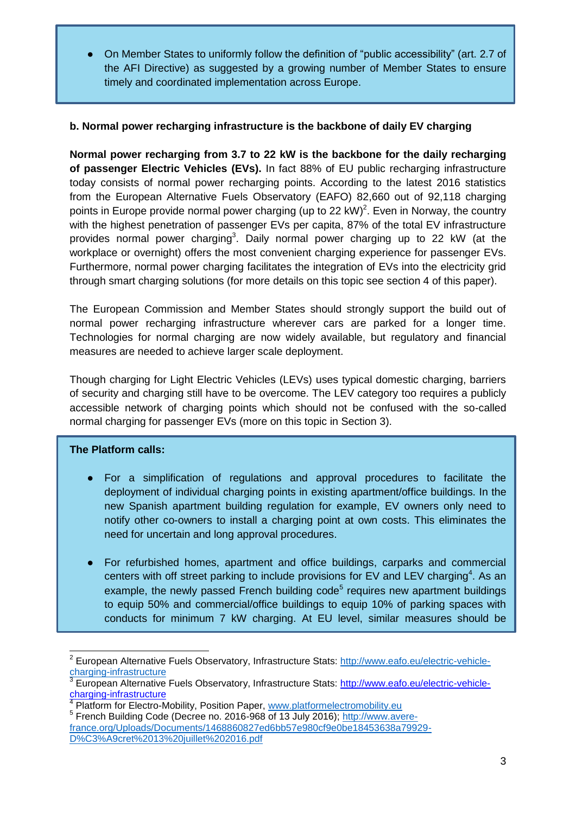● On Member States to uniformly follow the definition of "public accessibility" (art. 2.7 of the AFI Directive) as suggested by a growing number of Member States to ensure timely and coordinated implementation across Europe.

## **b. Normal power recharging infrastructure is the backbone of daily EV charging**

**Normal power recharging from 3.7 to 22 kW is the backbone for the daily recharging of passenger Electric Vehicles (EVs).** In fact 88% of EU public recharging infrastructure today consists of normal power recharging points. According to the latest 2016 statistics from the European Alternative Fuels Observatory (EAFO) 82,660 out of 92,118 charging points in Europe provide normal power charging (up to 22 kW)<sup>2</sup>. Even in Norway, the country with the highest penetration of passenger EVs per capita, 87% of the total EV infrastructure provides normal power charging<sup>3</sup>. Daily normal power charging up to 22 kW (at the workplace or overnight) offers the most convenient charging experience for passenger EVs. Furthermore, normal power charging facilitates the integration of EVs into the electricity grid through smart charging solutions (for more details on this topic see section 4 of this paper).

The European Commission and Member States should strongly support the build out of normal power recharging infrastructure wherever cars are parked for a longer time. Technologies for normal charging are now widely available, but regulatory and financial measures are needed to achieve larger scale deployment.

Though charging for Light Electric Vehicles (LEVs) uses typical domestic charging, barriers of security and charging still have to be overcome. The LEV category too requires a publicly accessible network of charging points which should not be confused with the so-called normal charging for passenger EVs (more on this topic in Section 3).

#### **The Platform calls:**

- For a simplification of regulations and approval procedures to facilitate the deployment of individual charging points in existing apartment/office buildings. In the new Spanish apartment building regulation for example, EV owners only need to notify other co-owners to install a charging point at own costs. This eliminates the need for uncertain and long approval procedures.
- For refurbished homes, apartment and office buildings, carparks and commercial centers with off street parking to include provisions for EV and LEV charging<sup>4</sup>. As an example, the newly passed French building code $5$  requires new apartment buildings to equip 50% and commercial/office buildings to equip 10% of parking spaces with conducts for minimum 7 kW charging. At EU level, similar measures should be

<sup>-</sup>2 European Alternative Fuels Observatory, Infrastructure Stats: [http://www.eafo.eu/electric-vehicle](http://www.eafo.eu/electric-vehicle-charging-infrastructure)[charging-infrastructure](http://www.eafo.eu/electric-vehicle-charging-infrastructure)

<sup>3</sup> European Alternative Fuels Observatory, Infrastructure Stats: [http://www.eafo.eu/electric-vehicle](http://www.eafo.eu/electric-vehicle-charging-infrastructure)[charging-infrastructure](http://www.eafo.eu/electric-vehicle-charging-infrastructure)

Platform for Electro-Mobility, Position Paper, [www.platformelectromobility.eu](http://www.platformelectromobility.eu/) 

<sup>&</sup>lt;sup>5</sup> French Building Code (Decree no. 2016-968 of 13 July 2016); [http://www.avere](http://www.avere-france.org/Uploads/Documents/1468860827ed6bb57e980cf9e0be18453638a79929-D%C3%A9cret%2013%20juillet%202016.pdf)[france.org/Uploads/Documents/1468860827ed6bb57e980cf9e0be18453638a79929-](http://www.avere-france.org/Uploads/Documents/1468860827ed6bb57e980cf9e0be18453638a79929-D%C3%A9cret%2013%20juillet%202016.pdf)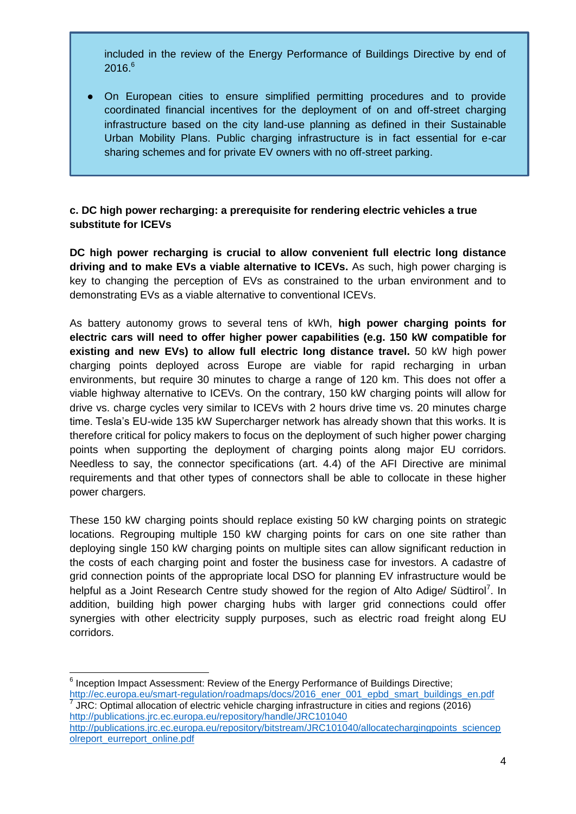included in the review of the Energy Performance of Buildings Directive by end of  $2016.<sup>6</sup>$ 

On European cities to ensure simplified permitting procedures and to provide coordinated financial incentives for the deployment of on and off-street charging infrastructure based on the city land-use planning as defined in their Sustainable Urban Mobility Plans. Public charging infrastructure is in fact essential for e-car sharing schemes and for private EV owners with no off-street parking.

## **c. DC high power recharging: a prerequisite for rendering electric vehicles a true substitute for ICEVs**

**DC high power recharging is crucial to allow convenient full electric long distance driving and to make EVs a viable alternative to ICEVs.** As such, high power charging is key to changing the perception of EVs as constrained to the urban environment and to demonstrating EVs as a viable alternative to conventional ICEVs.

As battery autonomy grows to several tens of kWh, **high power charging points for electric cars will need to offer higher power capabilities (e.g. 150 kW compatible for existing and new EVs) to allow full electric long distance travel.** 50 kW high power charging points deployed across Europe are viable for rapid recharging in urban environments, but require 30 minutes to charge a range of 120 km. This does not offer a viable highway alternative to ICEVs. On the contrary, 150 kW charging points will allow for drive vs. charge cycles very similar to ICEVs with 2 hours drive time vs. 20 minutes charge time. Tesla's EU-wide 135 kW Supercharger network has already shown that this works. It is therefore critical for policy makers to focus on the deployment of such higher power charging points when supporting the deployment of charging points along major EU corridors. Needless to say, the connector specifications (art. 4.4) of the AFI Directive are minimal requirements and that other types of connectors shall be able to collocate in these higher power chargers.

These 150 kW charging points should replace existing 50 kW charging points on strategic locations. Regrouping multiple 150 kW charging points for cars on one site rather than deploying single 150 kW charging points on multiple sites can allow significant reduction in the costs of each charging point and foster the business case for investors. A cadastre of grid connection points of the appropriate local DSO for planning EV infrastructure would be helpful as a Joint Research Centre study showed for the region of Alto Adige/ Südtirol<sup>7</sup>. In addition, building high power charging hubs with larger grid connections could offer synergies with other electricity supply purposes, such as electric road freight along EU corridors.

[http://ec.europa.eu/smart-regulation/roadmaps/docs/2016\\_ener\\_001\\_epbd\\_smart\\_buildings\\_en.pdf](http://ec.europa.eu/smart-regulation/roadmaps/docs/2016_ener_001_epbd_smart_buildings_en.pdf) 7 JRC: Optimal allocation of electric vehicle charging infrastructure in cities and regions (2016) <http://publications.jrc.ec.europa.eu/repository/handle/JRC101040>

 6 Inception Impact Assessment: Review of the Energy Performance of Buildings Directive;

[http://publications.jrc.ec.europa.eu/repository/bitstream/JRC101040/allocatechargingpoints\\_sciencep](http://publications.jrc.ec.europa.eu/repository/bitstream/JRC101040/allocatechargingpoints_sciencepolreport_eurreport_online.pdf) [olreport\\_eurreport\\_online.pdf](http://publications.jrc.ec.europa.eu/repository/bitstream/JRC101040/allocatechargingpoints_sciencepolreport_eurreport_online.pdf)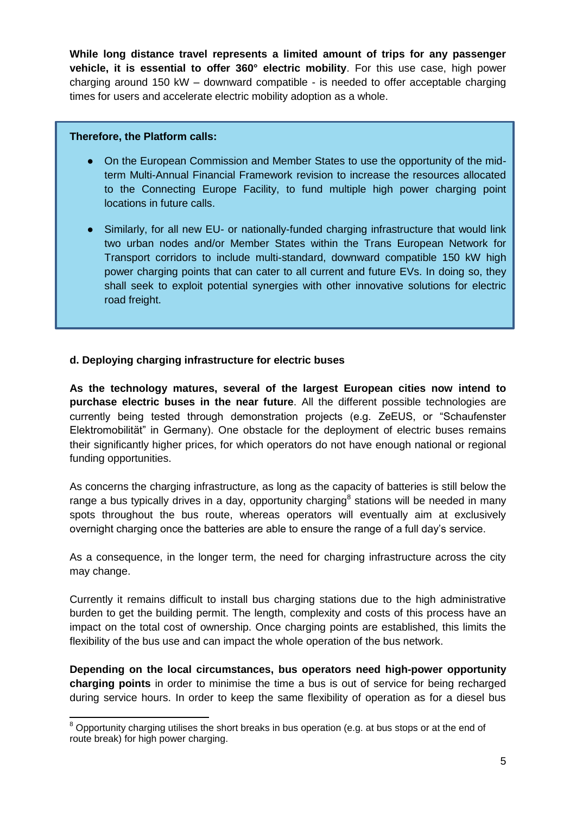**While long distance travel represents a limited amount of trips for any passenger vehicle, it is essential to offer 360° electric mobility**. For this use case, high power charging around 150 kW – downward compatible - is needed to offer acceptable charging times for users and accelerate electric mobility adoption as a whole.

#### **Therefore, the Platform calls:**

- On the European Commission and Member States to use the opportunity of the midterm Multi-Annual Financial Framework revision to increase the resources allocated to the Connecting Europe Facility, to fund multiple high power charging point locations in future calls.
- Similarly, for all new EU- or nationally-funded charging infrastructure that would link two urban nodes and/or Member States within the Trans European Network for Transport corridors to include multi-standard, downward compatible 150 kW high power charging points that can cater to all current and future EVs. In doing so, they shall seek to exploit potential synergies with other innovative solutions for electric road freight.

### **d. Deploying charging infrastructure for electric buses**

**As the technology matures, several of the largest European cities now intend to purchase electric buses in the near future**. All the different possible technologies are currently being tested through demonstration projects (e.g. ZeEUS, or "Schaufenster Elektromobilität" in Germany). One obstacle for the deployment of electric buses remains their significantly higher prices, for which operators do not have enough national or regional funding opportunities.

As concerns the charging infrastructure, as long as the capacity of batteries is still below the range a bus typically drives in a day, opportunity charging<sup>8</sup> stations will be needed in many spots throughout the bus route, whereas operators will eventually aim at exclusively overnight charging once the batteries are able to ensure the range of a full day's service.

As a consequence, in the longer term, the need for charging infrastructure across the city may change.

Currently it remains difficult to install bus charging stations due to the high administrative burden to get the building permit. The length, complexity and costs of this process have an impact on the total cost of ownership. Once charging points are established, this limits the flexibility of the bus use and can impact the whole operation of the bus network.

**Depending on the local circumstances, bus operators need high-power opportunity charging points** in order to minimise the time a bus is out of service for being recharged during service hours. In order to keep the same flexibility of operation as for a diesel bus

<sup>-</sup> $8$  Opportunity charging utilises the short breaks in bus operation (e.g. at bus stops or at the end of route break) for high power charging.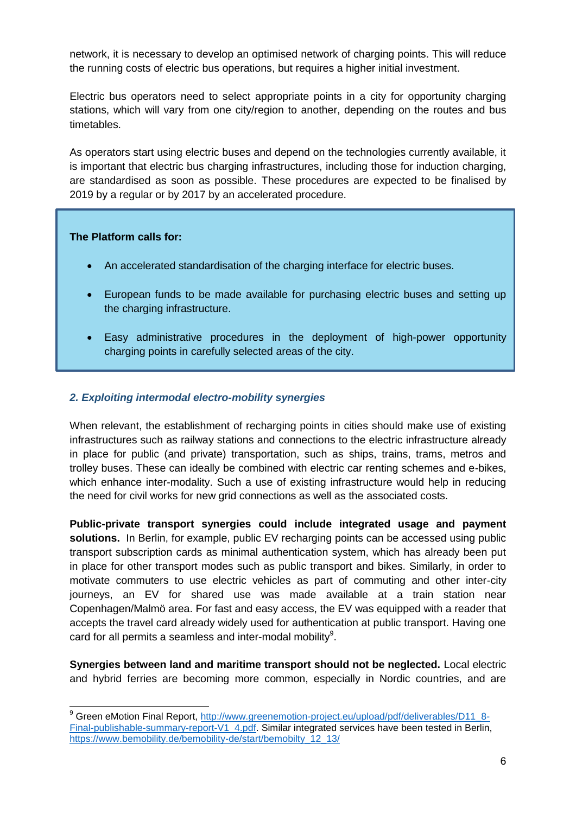network, it is necessary to develop an optimised network of charging points. This will reduce the running costs of electric bus operations, but requires a higher initial investment.

Electric bus operators need to select appropriate points in a city for opportunity charging stations, which will vary from one city/region to another, depending on the routes and bus timetables.

As operators start using electric buses and depend on the technologies currently available, it is important that electric bus charging infrastructures, including those for induction charging, are standardised as soon as possible. These procedures are expected to be finalised by 2019 by a regular or by 2017 by an accelerated procedure.

### **The Platform calls for:**

 $\overline{a}$ 

- An accelerated standardisation of the charging interface for electric buses.
- European funds to be made available for purchasing electric buses and setting up the charging infrastructure.
- Easy administrative procedures in the deployment of high-power opportunity charging points in carefully selected areas of the city.

### *2. Exploiting intermodal electro-mobility synergies*

When relevant, the establishment of recharging points in cities should make use of existing infrastructures such as railway stations and connections to the electric infrastructure already in place for public (and private) transportation, such as ships, trains, trams, metros and trolley buses. These can ideally be combined with electric car renting schemes and e-bikes, which enhance inter-modality. Such a use of existing infrastructure would help in reducing the need for civil works for new grid connections as well as the associated costs.

**Public-private transport synergies could include integrated usage and payment solutions.** In Berlin, for example, public EV recharging points can be accessed using public transport subscription cards as minimal authentication system, which has already been put in place for other transport modes such as public transport and bikes. Similarly, in order to motivate commuters to use electric vehicles as part of commuting and other inter-city journeys, an EV for shared use was made available at a train station near Copenhagen/Malmö area. For fast and easy access, the EV was equipped with a reader that accepts the travel card already widely used for authentication at public transport. Having one card for all permits a seamless and inter-modal mobility<sup>9</sup>.

**Synergies between land and maritime transport should not be neglected.** Local electric and hybrid ferries are becoming more common, especially in Nordic countries, and are

<sup>&</sup>lt;sup>9</sup> Green eMotion Final Report, [http://www.greenemotion-project.eu/upload/pdf/deliverables/D11\\_8-](http://www.greenemotion-project.eu/upload/pdf/deliverables/D11_8-Final-publishable-summary-report-V1_4.pdf) [Final-publishable-summary-report-V1\\_4.pdf.](http://www.greenemotion-project.eu/upload/pdf/deliverables/D11_8-Final-publishable-summary-report-V1_4.pdf) Similar integrated services have been tested in Berlin, [https://www.bemobility.de/bemobility-de/start/bemobilty\\_12\\_13/](https://www.bemobility.de/bemobility-de/start/bemobilty_12_13/)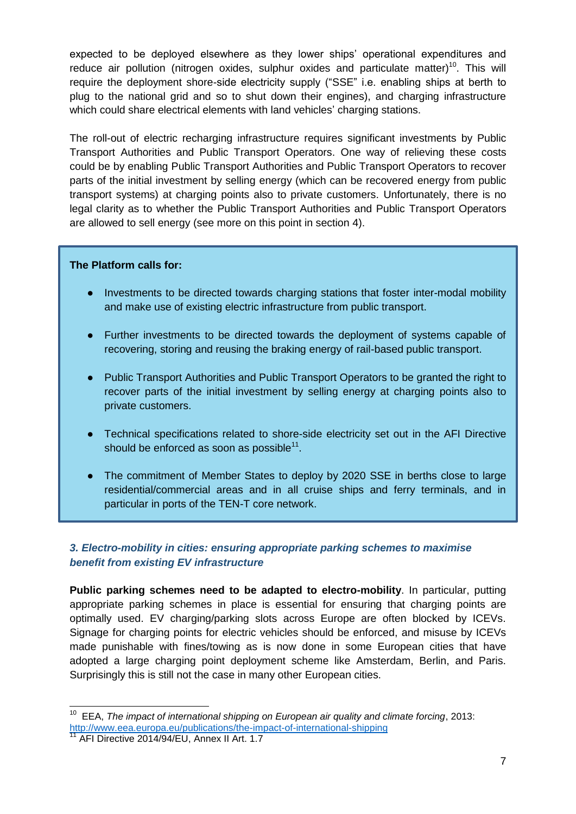expected to be deployed elsewhere as they lower ships' operational expenditures and reduce air pollution (nitrogen oxides, sulphur oxides and particulate matter)<sup>10</sup>. This will require the deployment shore-side electricity supply ("SSE" i.e. enabling ships at berth to plug to the national grid and so to shut down their engines), and charging infrastructure which could share electrical elements with land vehicles' charging stations.

The roll-out of electric recharging infrastructure requires significant investments by Public Transport Authorities and Public Transport Operators. One way of relieving these costs could be by enabling Public Transport Authorities and Public Transport Operators to recover parts of the initial investment by selling energy (which can be recovered energy from public transport systems) at charging points also to private customers. Unfortunately, there is no legal clarity as to whether the Public Transport Authorities and Public Transport Operators are allowed to sell energy (see more on this point in section 4).

#### **The Platform calls for:**

- Investments to be directed towards charging stations that foster inter-modal mobility and make use of existing electric infrastructure from public transport.
- Further investments to be directed towards the deployment of systems capable of recovering, storing and reusing the braking energy of rail-based public transport.
- Public Transport Authorities and Public Transport Operators to be granted the right to recover parts of the initial investment by selling energy at charging points also to private customers.
- Technical specifications related to shore-side electricity set out in the AFI Directive should be enforced as soon as possible $11$ .
- The commitment of Member States to deploy by 2020 SSE in berths close to large residential/commercial areas and in all cruise ships and ferry terminals, and in particular in ports of the TEN-T core network.

# *3. Electro-mobility in cities: ensuring appropriate parking schemes to maximise benefit from existing EV infrastructure*

**Public parking schemes need to be adapted to electro-mobility**. In particular, putting appropriate parking schemes in place is essential for ensuring that charging points are optimally used. EV charging/parking slots across Europe are often blocked by ICEVs. Signage for charging points for electric vehicles should be enforced, and misuse by ICEVs made punishable with fines/towing as is now done in some European cities that have adopted a large charging point deployment scheme like Amsterdam, Berlin, and Paris. Surprisingly this is still not the case in many other European cities.

 $\overline{1}$ <sup>10</sup> EEA, *The impact of international shipping on European air quality and climate forcing*, 2013: <http://www.eea.europa.eu/publications/the-impact-of-international-shipping>

AFI Directive 2014/94/EU, Annex II Art. 1.7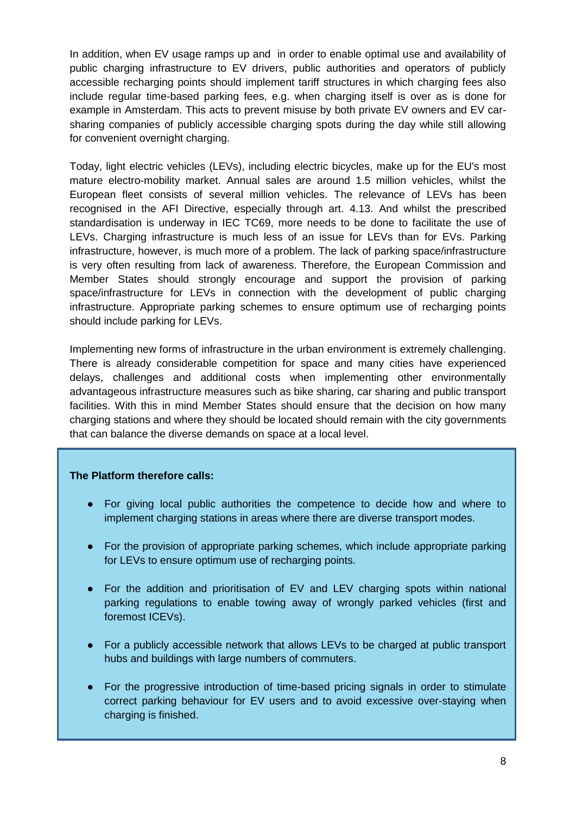In addition, when EV usage ramps up and in order to enable optimal use and availability of public charging infrastructure to EV drivers, public authorities and operators of publicly accessible recharging points should implement tariff structures in which charging fees also include regular time-based parking fees, e.g. when charging itself is over as is done for example in Amsterdam. This acts to prevent misuse by both private EV owners and EV carsharing companies of publicly accessible charging spots during the day while still allowing for convenient overnight charging.

Today, light electric vehicles (LEVs), including electric bicycles, make up for the EU's most mature electro-mobility market. Annual sales are around 1.5 million vehicles, whilst the European fleet consists of several million vehicles. The relevance of LEVs has been recognised in the AFI Directive, especially through art. 4.13. And whilst the prescribed standardisation is underway in IEC TC69, more needs to be done to facilitate the use of LEVs. Charging infrastructure is much less of an issue for LEVs than for EVs. Parking infrastructure, however, is much more of a problem. The lack of parking space/infrastructure is very often resulting from lack of awareness. Therefore, the European Commission and Member States should strongly encourage and support the provision of parking space/infrastructure for LEVs in connection with the development of public charging infrastructure. Appropriate parking schemes to ensure optimum use of recharging points should include parking for LEVs.

Implementing new forms of infrastructure in the urban environment is extremely challenging. There is already considerable competition for space and many cities have experienced delays, challenges and additional costs when implementing other environmentally advantageous infrastructure measures such as bike sharing, car sharing and public transport facilities. With this in mind Member States should ensure that the decision on how many charging stations and where they should be located should remain with the city governments that can balance the diverse demands on space at a local level.

#### **The Platform therefore calls:**

- For giving local public authorities the competence to decide how and where to implement charging stations in areas where there are diverse transport modes.
- For the provision of appropriate parking schemes, which include appropriate parking for LEVs to ensure optimum use of recharging points.
- For the addition and prioritisation of EV and LEV charging spots within national parking regulations to enable towing away of wrongly parked vehicles (first and foremost ICEVs).
- For a publicly accessible network that allows LEVs to be charged at public transport hubs and buildings with large numbers of commuters.
- For the progressive introduction of time-based pricing signals in order to stimulate correct parking behaviour for EV users and to avoid excessive over-staying when charging is finished.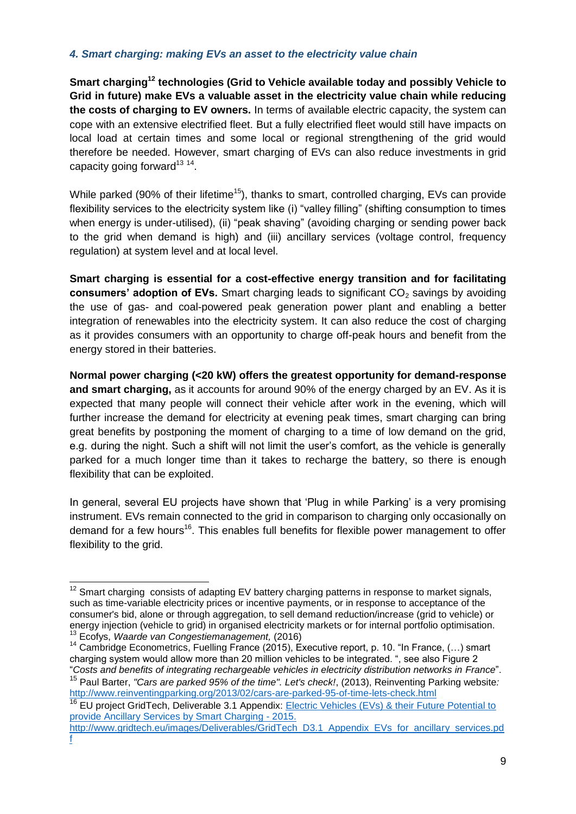### *4. Smart charging: making EVs an asset to the electricity value chain*

**Smart charging<sup>12</sup> technologies (Grid to Vehicle available today and possibly Vehicle to Grid in future) make EVs a valuable asset in the electricity value chain while reducing the costs of charging to EV owners.** In terms of available electric capacity, the system can cope with an extensive electrified fleet. But a fully electrified fleet would still have impacts on local load at certain times and some local or regional strengthening of the grid would therefore be needed. However, smart charging of EVs can also reduce investments in grid capacity going forward $^{13}$  <sup>14</sup>.

While parked (90% of their lifetime<sup>15</sup>), thanks to smart, controlled charging, EVs can provide flexibility services to the electricity system like (i) "valley filling" (shifting consumption to times when energy is under-utilised), (ii) "peak shaving" (avoiding charging or sending power back to the grid when demand is high) and (iii) ancillary services (voltage control, frequency regulation) at system level and at local level.

**Smart charging is essential for a cost-effective energy transition and for facilitating consumers' adoption of EVs.** Smart charging leads to significant CO<sub>2</sub> savings by avoiding the use of gas- and coal-powered peak generation power plant and enabling a better integration of renewables into the electricity system. It can also reduce the cost of charging as it provides consumers with an opportunity to charge off-peak hours and benefit from the energy stored in their batteries.

**Normal power charging (<20 kW) offers the greatest opportunity for demand-response and smart charging,** as it accounts for around 90% of the energy charged by an EV. As it is expected that many people will connect their vehicle after work in the evening, which will further increase the demand for electricity at evening peak times, smart charging can bring great benefits by postponing the moment of charging to a time of low demand on the grid, e.g. during the night. Such a shift will not limit the user's comfort, as the vehicle is generally parked for a much longer time than it takes to recharge the battery, so there is enough flexibility that can be exploited.

In general, several EU projects have shown that 'Plug in while Parking' is a very promising instrument. EVs remain connected to the grid in comparison to charging only occasionally on demand for a few hours<sup>16</sup>. This enables full benefits for flexible power management to offer flexibility to the grid.

-

 $12$  Smart charging consists of adapting EV battery charging patterns in response to market signals, such as time-variable electricity prices or incentive payments, or in response to acceptance of the consumer's bid, alone or through aggregation, to sell demand reduction/increase (grid to vehicle) or energy injection (vehicle to grid) in organised electricity markets or for internal portfolio optimisation. <sup>13</sup> Ecofys, *Waarde van Congestiemanagement,* (2016)

<sup>&</sup>lt;sup>14</sup> Cambridge Econometrics, Fuelling France (2015), Executive report, p. 10. "In France, (...) smart charging system would allow more than 20 million vehicles to be integrated. ", see also Figure 2 "*Costs and benefits of integrating rechargeable vehicles in electricity distribution networks in France*". <sup>15</sup> Paul Barter, *"Cars are parked 95% of the time". Let's check!*, (2013), Reinventing Parking website*:*  <http://www.reinventingparking.org/2013/02/cars-are-parked-95-of-time-lets-check.html>

<sup>&</sup>lt;sup>16</sup> EU project GridTech, Deliverable 3.1 Appendix: Electric Vehicles (EVs) & their Future Potential to [provide Ancillary Services by Smart Charging -](http://www.gridtech.eu/images/Deliverables/GridTech_D3.1_Appendix_EVs_for_ancillary_services.pdf) 2015.

[http://www.gridtech.eu/images/Deliverables/GridTech\\_D3.1\\_Appendix\\_EVs\\_for\\_ancillary\\_services.pd](http://www.gridtech.eu/images/Deliverables/GridTech_D3.1_Appendix_EVs_for_ancillary_services.pdf) [f](http://www.gridtech.eu/images/Deliverables/GridTech_D3.1_Appendix_EVs_for_ancillary_services.pdf)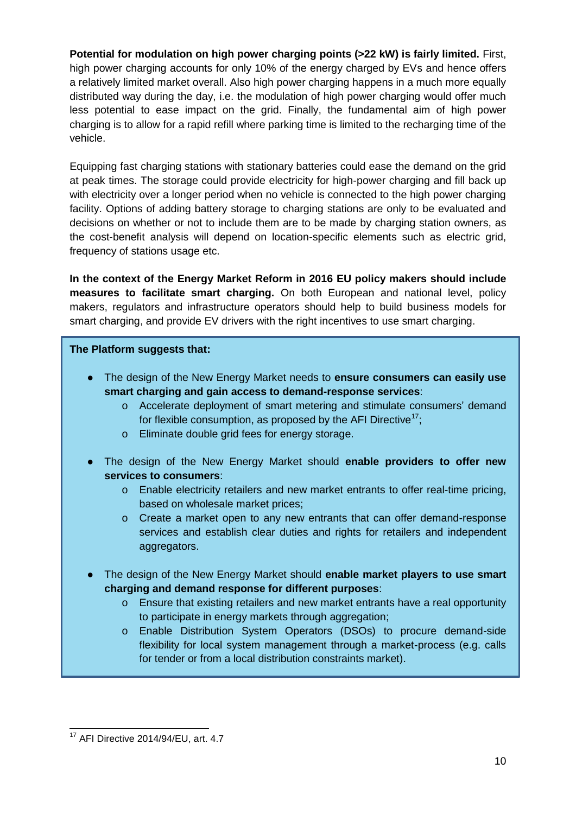**Potential for modulation on high power charging points (>22 kW) is fairly limited.** First, high power charging accounts for only 10% of the energy charged by EVs and hence offers a relatively limited market overall. Also high power charging happens in a much more equally distributed way during the day, i.e. the modulation of high power charging would offer much less potential to ease impact on the grid. Finally, the fundamental aim of high power charging is to allow for a rapid refill where parking time is limited to the recharging time of the vehicle.

Equipping fast charging stations with stationary batteries could ease the demand on the grid at peak times. The storage could provide electricity for high-power charging and fill back up with electricity over a longer period when no vehicle is connected to the high power charging facility. Options of adding battery storage to charging stations are only to be evaluated and decisions on whether or not to include them are to be made by charging station owners, as the cost-benefit analysis will depend on location-specific elements such as electric grid, frequency of stations usage etc.

**In the context of the Energy Market Reform in 2016 EU policy makers should include measures to facilitate smart charging.** On both European and national level, policy makers, regulators and infrastructure operators should help to build business models for smart charging, and provide EV drivers with the right incentives to use smart charging.

### **The Platform suggests that:**

- The design of the New Energy Market needs to **ensure consumers can easily use smart charging and gain access to demand-response services**:
	- o Accelerate deployment of smart metering and stimulate consumers' demand for flexible consumption, as proposed by the AFI Directive<sup>17</sup>;
	- o Eliminate double grid fees for energy storage.
- The design of the New Energy Market should **enable providers to offer new services to consumers**:
	- o Enable electricity retailers and new market entrants to offer real-time pricing, based on wholesale market prices;
	- o Create a market open to any new entrants that can offer demand-response services and establish clear duties and rights for retailers and independent aggregators.
- The design of the New Energy Market should **enable market players to use smart charging and demand response for different purposes**:
	- o Ensure that existing retailers and new market entrants have a real opportunity to participate in energy markets through aggregation;
	- o Enable Distribution System Operators (DSOs) to procure demand-side flexibility for local system management through a market-process (e.g. calls for tender or from a local distribution constraints market).

<sup>-</sup><sup>17</sup> AFI Directive 2014/94/EU, art. 4.7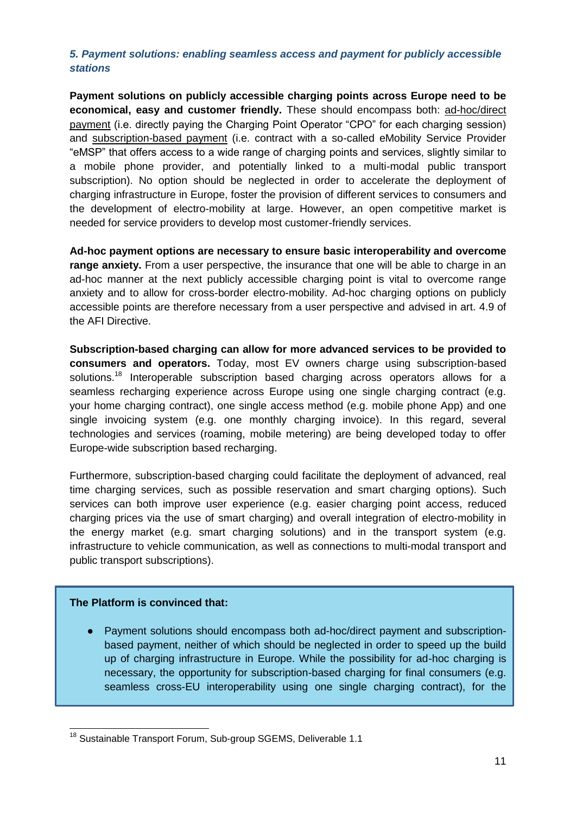# *5. Payment solutions: enabling seamless access and payment for publicly accessible stations*

**Payment solutions on publicly accessible charging points across Europe need to be economical, easy and customer friendly.** These should encompass both: ad-hoc/direct payment (i.e. directly paying the Charging Point Operator "CPO" for each charging session) and subscription-based payment (i.e. contract with a so-called eMobility Service Provider "eMSP" that offers access to a wide range of charging points and services, slightly similar to a mobile phone provider, and potentially linked to a multi-modal public transport subscription). No option should be neglected in order to accelerate the deployment of charging infrastructure in Europe, foster the provision of different services to consumers and the development of electro-mobility at large. However, an open competitive market is needed for service providers to develop most customer-friendly services.

**Ad-hoc payment options are necessary to ensure basic interoperability and overcome range anxiety.** From a user perspective, the insurance that one will be able to charge in an ad-hoc manner at the next publicly accessible charging point is vital to overcome range anxiety and to allow for cross-border electro-mobility. Ad-hoc charging options on publicly accessible points are therefore necessary from a user perspective and advised in art. 4.9 of the AFI Directive.

**Subscription-based charging can allow for more advanced services to be provided to consumers and operators.** Today, most EV owners charge using subscription-based solutions.<sup>18</sup> Interoperable subscription based charging across operators allows for a seamless recharging experience across Europe using one single charging contract (e.g. your home charging contract), one single access method (e.g. mobile phone App) and one single invoicing system (e.g. one monthly charging invoice). In this regard, several technologies and services (roaming, mobile metering) are being developed today to offer Europe-wide subscription based recharging.

Furthermore, subscription-based charging could facilitate the deployment of advanced, real time charging services, such as possible reservation and smart charging options). Such services can both improve user experience (e.g. easier charging point access, reduced charging prices via the use of smart charging) and overall integration of electro-mobility in the energy market (e.g. smart charging solutions) and in the transport system (e.g. infrastructure to vehicle communication, as well as connections to multi-modal transport and public transport subscriptions).

#### **The Platform is convinced that:**

Payment solutions should encompass both ad-hoc/direct payment and subscriptionbased payment, neither of which should be neglected in order to speed up the build up of charging infrastructure in Europe. While the possibility for ad-hoc charging is necessary, the opportunity for subscription-based charging for final consumers (e.g. seamless cross-EU interoperability using one single charging contract), for the

<sup>-</sup><sup>18</sup> Sustainable Transport Forum, Sub-group SGEMS, Deliverable 1.1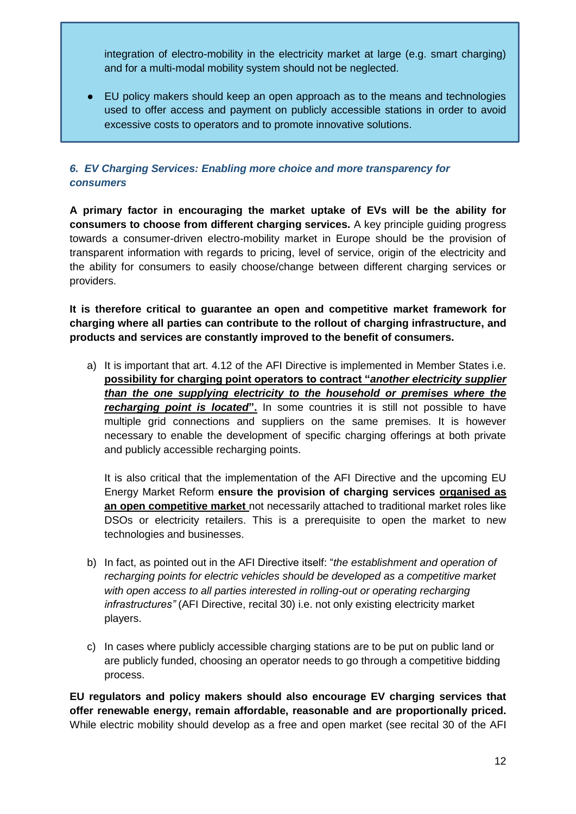integration of electro-mobility in the electricity market at large (e.g. smart charging) and for a multi-modal mobility system should not be neglected.

● EU policy makers should keep an open approach as to the means and technologies used to offer access and payment on publicly accessible stations in order to avoid excessive costs to operators and to promote innovative solutions.

# *6. EV Charging Services: Enabling more choice and more transparency for consumers*

**A primary factor in encouraging the market uptake of EVs will be the ability for consumers to choose from different charging services.** A key principle guiding progress towards a consumer-driven electro-mobility market in Europe should be the provision of transparent information with regards to pricing, level of service, origin of the electricity and the ability for consumers to easily choose/change between different charging services or providers.

# **It is therefore critical to guarantee an open and competitive market framework for charging where all parties can contribute to the rollout of charging infrastructure, and products and services are constantly improved to the benefit of consumers.**

a) It is important that art. 4.12 of the AFI Directive is implemented in Member States i.e. **possibility for charging point operators to contract "***another electricity supplier than the one supplying electricity to the household or premises where the recharging point is located***".** In some countries it is still not possible to have multiple grid connections and suppliers on the same premises. It is however necessary to enable the development of specific charging offerings at both private and publicly accessible recharging points.

It is also critical that the implementation of the AFI Directive and the upcoming EU Energy Market Reform **ensure the provision of charging services organised as an open competitive market** not necessarily attached to traditional market roles like DSOs or electricity retailers. This is a prerequisite to open the market to new technologies and businesses.

- b) In fact, as pointed out in the AFI Directive itself: "*the establishment and operation of recharging points for electric vehicles should be developed as a competitive market with open access to all parties interested in rolling-out or operating recharging infrastructures"* (AFI Directive, recital 30) i.e. not only existing electricity market players.
- c) In cases where publicly accessible charging stations are to be put on public land or are publicly funded, choosing an operator needs to go through a competitive bidding process.

**EU regulators and policy makers should also encourage EV charging services that offer renewable energy, remain affordable, reasonable and are proportionally priced.** While electric mobility should develop as a free and open market (see recital 30 of the AFI